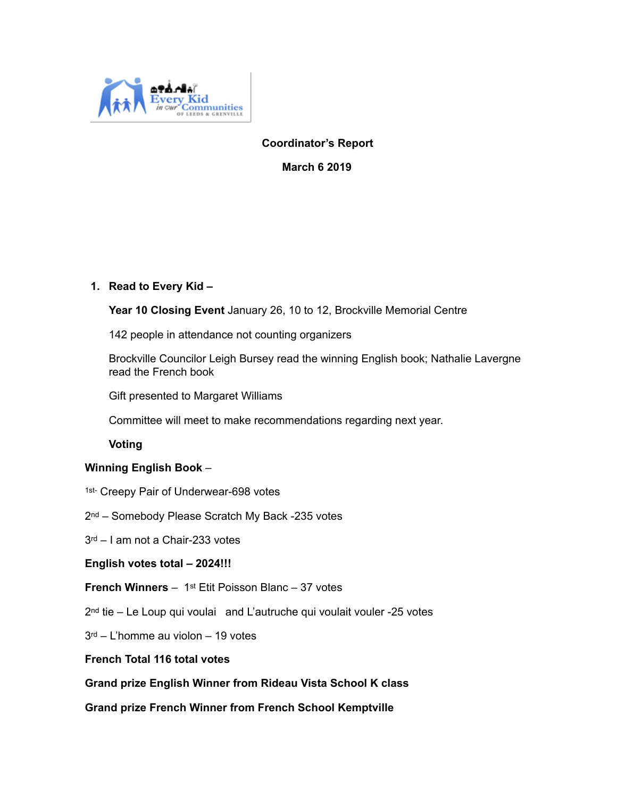

## **Coordinator's Report**

**March 6 2019** 

## **1. Read to Every Kid –**

**Year 10 Closing Event** January 26, 10 to 12, Brockville Memorial Centre

142 people in attendance not counting organizers

Brockville Councilor Leigh Bursey read the winning English book; Nathalie Lavergne read the French book

Gift presented to Margaret Williams

Committee will meet to make recommendations regarding next year.

**Voting** 

## **Winning English Book** –

- 1st- Creepy Pair of Underwear-698 votes
- 2nd Somebody Please Scratch My Back -235 votes
- 3rd I am not a Chair-233 votes
- **English votes total 2024!!!**

 **French Winners** – 1st Etit Poisson Blanc – 37 votes

2nd tie – Le Loup qui voulai and L'autruche qui voulait vouler -25 votes

3rd – L'homme au violon – 19 votes

#### **French Total 116 total votes**

 **Grand prize English Winner from Rideau Vista School K class** 

 **Grand prize French Winner from French School Kemptville**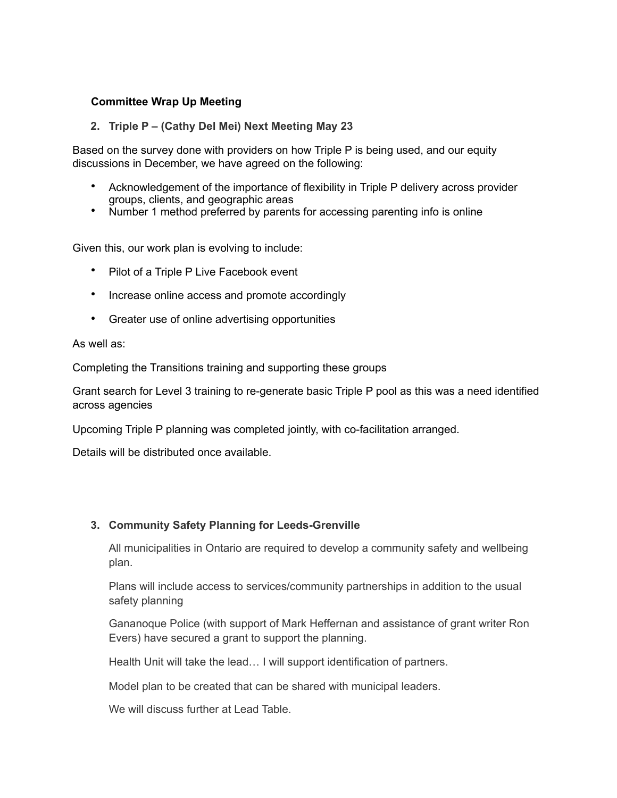## **Committee Wrap Up Meeting**

#### **2. Triple P – (Cathy Del Mei) Next Meeting May 23**

Based on the survey done with providers on how Triple P is being used, and our equity discussions in December, we have agreed on the following:

- Acknowledgement of the importance of flexibility in Triple P delivery across provider groups, clients, and geographic areas
- Number 1 method preferred by parents for accessing parenting info is online

Given this, our work plan is evolving to include:

- Pilot of a Triple P Live Facebook event
- Increase online access and promote accordingly
- Greater use of online advertising opportunities

As well as:

Completing the Transitions training and supporting these groups

Grant search for Level 3 training to re-generate basic Triple P pool as this was a need identified across agencies

Upcoming Triple P planning was completed jointly, with co-facilitation arranged.

Details will be distributed once available.

#### **3. Community Safety Planning for Leeds-Grenville**

All municipalities in Ontario are required to develop a community safety and wellbeing plan.

Plans will include access to services/community partnerships in addition to the usual safety planning

Gananoque Police (with support of Mark Heffernan and assistance of grant writer Ron Evers) have secured a grant to support the planning.

Health Unit will take the lead… I will support identification of partners.

Model plan to be created that can be shared with municipal leaders.

We will discuss further at Lead Table.